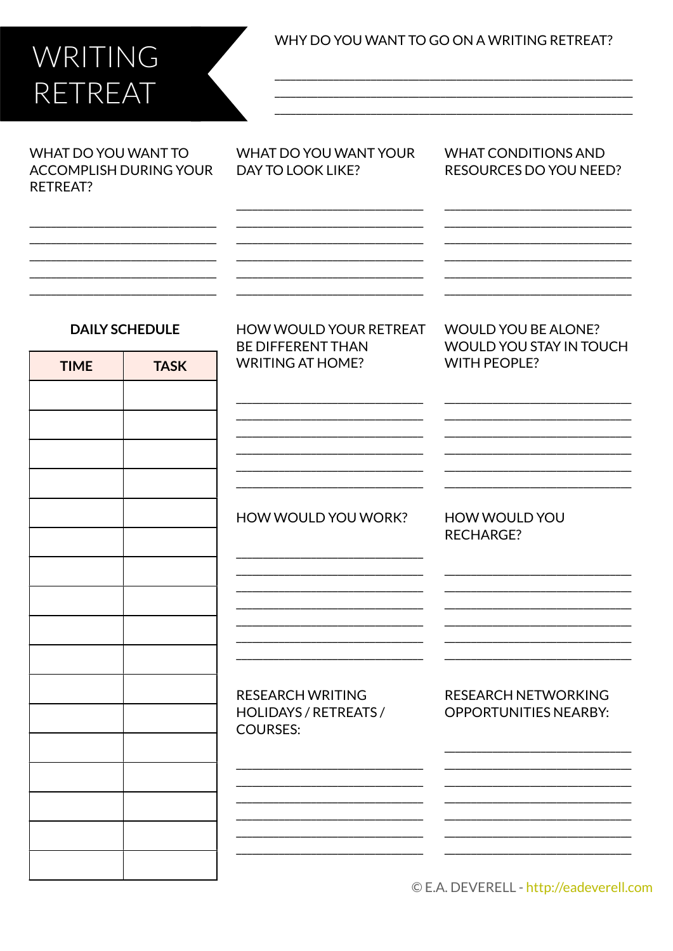## WRITING RETREAT

WHY DO YOU WANT TO GO ON A WRITING RETREAT?

WHAT DO YOU WANT TO **ACCOMPLISH DURING YOUR** RETREAT?

WHAT DO YOU WANT YOUR **DAY TO LOOK LIKE?** 

**WHAT CONDITIONS AND RESOURCES DO YOU NEED?** 

**WOULD YOU BE ALONE?** 

**WITH PEOPLE?** 

**WOULD YOU STAY IN TOUCH** 

## **DAILY SCHEDULE**

| <b>TIME</b> | <b>TASK</b> |
|-------------|-------------|
|             |             |
|             |             |
|             |             |
|             |             |
|             |             |
|             |             |
|             |             |
|             |             |
|             |             |
|             |             |
|             |             |
|             |             |
|             |             |
|             |             |
|             |             |
|             |             |
|             |             |

**HOW WOULD YOUR RETREAT BF DIFFFRENT THAN WRITING AT HOME?** 

HOW WOULD YOU WORK?

**HOW WOULD YOU RECHARGE?** 

**RESEARCH WRITING** HOLIDAYS / RETREATS / **COURSES:** 

**RESEARCH NETWORKING OPPORTUNITIES NEARBY:** 

© E.A. DEVERELL - http://eadeverell.com